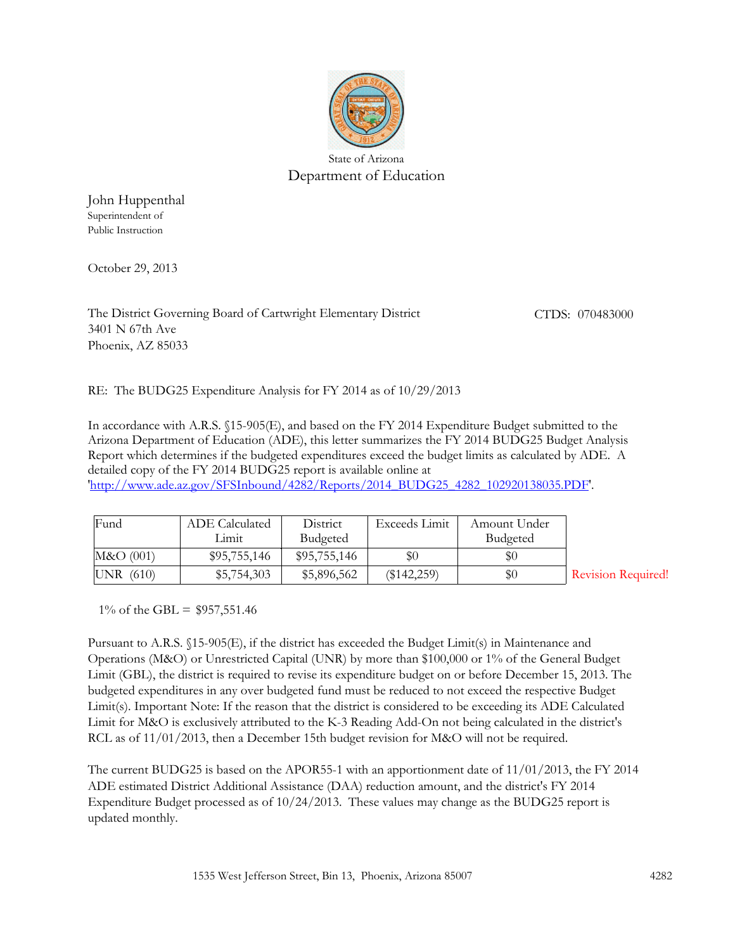

State of Arizona Department of Education

John Huppenthal Superintendent of Public Instruction

October 29, 2013

3401 N 67th Ave Phoenix, AZ 85033 The District Governing Board of Cartwright Elementary District CTDS: 070483000

RE: The BUDG25 Expenditure Analysis for FY 2014 as of 10/29/2013

In accordance with A.R.S. §15-905(E), and based on the FY 2014 Expenditure Budget submitted to the Arizona Department of Education (ADE), this letter summarizes the FY 2014 BUDG25 Budget Analysis Report which determines if the budgeted expenditures exceed the budget limits as calculated by ADE. A detailed copy of the FY 2014 BUDG25 report is available online at

'http://www.ade.az.gov/SFSInbound/4282/Reports/2014\_BUDG25\_4282\_102920138035.PDF'.

| Fund     | <b>ADE</b> Calculated | District     | Exceeds Limit | Amount Under |     |
|----------|-----------------------|--------------|---------------|--------------|-----|
|          | Lımıt                 | Budgeted     |               | Budgeted     |     |
| M&O(001) | \$95,755,146          | \$95,755,146 | \$0           | \$0          |     |
| UNR(610) | \$5,754,303           | \$5,896,562  | $(\$142,259)$ | \$0          | Rev |

vision Required!

1% of the GBL =  $$957,551.46$ 

Pursuant to A.R.S. §15-905(E), if the district has exceeded the Budget Limit(s) in Maintenance and Operations (M&O) or Unrestricted Capital (UNR) by more than \$100,000 or 1% of the General Budget Limit (GBL), the district is required to revise its expenditure budget on or before December 15, 2013. The budgeted expenditures in any over budgeted fund must be reduced to not exceed the respective Budget Limit(s). Important Note: If the reason that the district is considered to be exceeding its ADE Calculated Limit for M&O is exclusively attributed to the K-3 Reading Add-On not being calculated in the district's RCL as of 11/01/2013, then a December 15th budget revision for M&O will not be required.

The current BUDG25 is based on the APOR55-1 with an apportionment date of 11/01/2013, the FY 2014 ADE estimated District Additional Assistance (DAA) reduction amount, and the district's FY 2014 Expenditure Budget processed as of 10/24/2013. These values may change as the BUDG25 report is updated monthly.